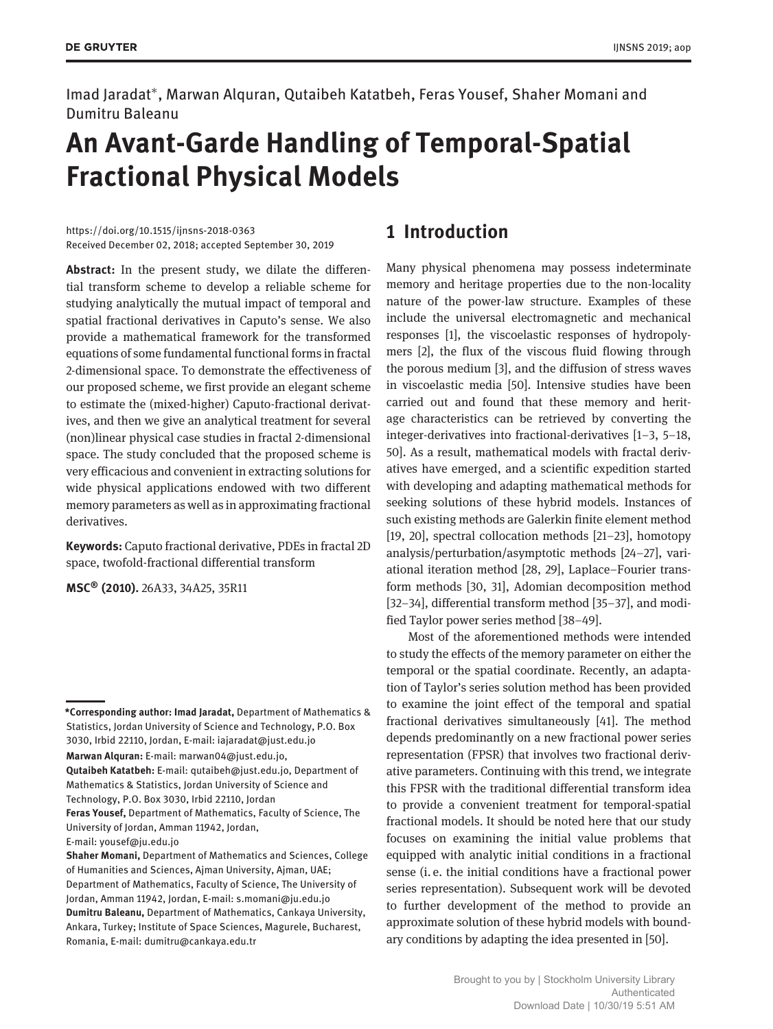Imad Jaradat<sup>∗</sup> , Marwan Alquran, Qutaibeh Katatbeh, Feras Yousef, Shaher Momani and Dumitru Baleanu

# **An Avant-Garde Handling of Temporal-Spatial Fractional Physical Models**

https://doi.org/10.1515/ijnsns-2018-0363 Received December 02, 2018; accepted September 30, 2019

**Abstract:** In the present study, we dilate the differential transform scheme to develop a reliable scheme for studying analytically the mutual impact of temporal and spatial fractional derivatives in Caputo's sense. We also provide a mathematical framework for the transformed equations of some fundamental functional forms in fractal 2-dimensional space. To demonstrate the effectiveness of our proposed scheme, we first provide an elegant scheme to estimate the (mixed-higher) Caputo-fractional derivatives, and then we give an analytical treatment for several (non)linear physical case studies in fractal 2-dimensional space. The study concluded that the proposed scheme is very efficacious and convenient in extracting solutions for wide physical applications endowed with two different memory parameters as well as in approximating fractional derivatives.

**Keywords:** Caputo fractional derivative, PDEs in fractal 2D space, twofold-fractional differential transform

**MSC® (2010).** 26A33, 34A25, 35R11

## **1 Introduction**

Many physical phenomena may possess indeterminate memory and heritage properties due to the non-locality nature of the power-law structure. Examples of these include the universal electromagnetic and mechanical responses [1], the viscoelastic responses of hydropolymers [2], the flux of the viscous fluid flowing through the porous medium [3], and the diffusion of stress waves in viscoelastic media [50]. Intensive studies have been carried out and found that these memory and heritage characteristics can be retrieved by converting the integer-derivatives into fractional-derivatives [1–3, 5–18, 50]. As a result, mathematical models with fractal derivatives have emerged, and a scientific expedition started with developing and adapting mathematical methods for seeking solutions of these hybrid models. Instances of such existing methods are Galerkin finite element method [19, 20], spectral collocation methods [21–23], homotopy analysis/perturbation/asymptotic methods [24–27], variational iteration method [28, 29], Laplace–Fourier transform methods [30, 31], Adomian decomposition method [32–34], differential transform method [35–37], and modified Taylor power series method [38–49].

Most of the aforementioned methods were intended to study the effects of the memory parameter on either the temporal or the spatial coordinate. Recently, an adaptation of Taylor's series solution method has been provided to examine the joint effect of the temporal and spatial fractional derivatives simultaneously [41]. The method depends predominantly on a new fractional power series representation (FPSR) that involves two fractional derivative parameters. Continuing with this trend, we integrate this FPSR with the traditional differential transform idea to provide a convenient treatment for temporal-spatial fractional models. It should be noted here that our study focuses on examining the initial value problems that equipped with analytic initial conditions in a fractional sense (i. e. the initial conditions have a fractional power series representation). Subsequent work will be devoted to further development of the method to provide an approximate solution of these hybrid models with boundary conditions by adapting the idea presented in [50].

**<sup>\*</sup>Corresponding author: Imad Jaradat,** Department of Mathematics & Statistics, Jordan University of Science and Technology, P.O. Box 3030, Irbid 22110, Jordan, E-mail: iajaradat@just.edu.jo **Marwan Alquran:** E-mail: marwan04@just.edu.jo, **Qutaibeh Katatbeh:** E-mail: qutaibeh@just.edu.jo, Department of Mathematics & Statistics, Jordan University of Science and Technology, P.O. Box 3030, Irbid 22110, Jordan **Feras Yousef,** Department of Mathematics, Faculty of Science, The

University of Jordan, Amman 11942, Jordan,

E-mail: yousef@ju.edu.jo

**Shaher Momani,** Department of Mathematics and Sciences, College of Humanities and Sciences, Ajman University, Ajman, UAE; Department of Mathematics, Faculty of Science, The University of Jordan, Amman 11942, Jordan, E-mail: s.momani@ju.edu.jo **Dumitru Baleanu,** Department of Mathematics, Cankaya University, Ankara, Turkey; Institute of Space Sciences, Magurele, Bucharest, Romania, E-mail: dumitru@cankaya.edu.tr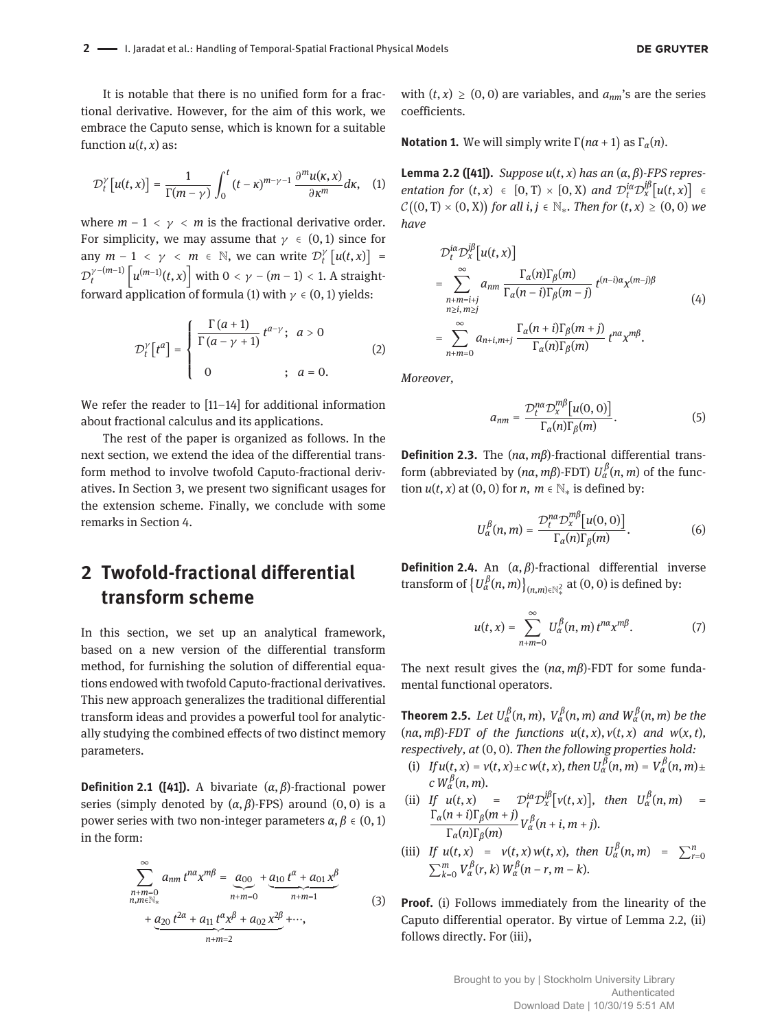**DE GRUYTER** 

It is notable that there is no unified form for a fractional derivative. However, for the aim of this work, we embrace the Caputo sense, which is known for a suitable function  $u(t, x)$  as:

$$
\mathcal{D}_t^{\gamma}[u(t,x)] = \frac{1}{\Gamma(m-\gamma)} \int_0^t (t-\kappa)^{m-\gamma-1} \frac{\partial^m u(\kappa,x)}{\partial \kappa^m} d\kappa, \quad (1)
$$

where  $m - 1 < \gamma < m$  is the fractional derivative order. For simplicity, we may assume that  $\gamma \in (0,1)$  since for any  $m-1 < \gamma < m \in \mathbb{N}$ , we can write  $\mathcal{D}_t^{\gamma}[u(t,x)] =$  $\mathcal{D}_t^{\gamma-(m-1)}\left[u^{(m-1)}(t,x)\right]$  with  $0<\gamma-(m-1)< 1.$  A straightforward application of formula (1) with  $\gamma \in (0,1)$  yields:

$$
\mathcal{D}_t^{\gamma}[t^a] = \begin{cases} \frac{\Gamma(a+1)}{\Gamma(a-\gamma+1)} t^{a-\gamma}; & a > 0\\ 0 & ; a = 0. \end{cases}
$$
 (2)

We refer the reader to [11–14] for additional information about fractional calculus and its applications.

The rest of the paper is organized as follows. In the next section, we extend the idea of the differential transform method to involve twofold Caputo-fractional derivatives. In Section 3, we present two significant usages for the extension scheme. Finally, we conclude with some remarks in Section 4.

## **2 Twofold-fractional differential transform scheme**

In this section, we set up an analytical framework, based on a new version of the differential transform method, for furnishing the solution of differential equations endowed with twofold Caputo-fractional derivatives. This new approach generalizes the traditional differential transform ideas and provides a powerful tool for analytically studying the combined effects of two distinct memory parameters.

**Definition 2.1 ([41]).** A bivariate  $(\alpha, \beta)$ -fractional power series (simply denoted by  $(\alpha, \beta)$ -FPS) around  $(0, 0)$  is a power series with two non-integer parameters  $\alpha, \beta \in (0, 1)$ in the form:

$$
\sum_{\substack{n+m=0\\n,m\in\mathbb{N}_*}}^{\infty} a_{nm} t^{n\alpha} x^{m\beta} = \underbrace{a_{00}}_{n+m=0} + \underbrace{a_{10} t^{\alpha} + a_{01} x^{\beta}}_{n+m=1}
$$
  
+ 
$$
\underbrace{a_{20} t^{2\alpha} + a_{11} t^{\alpha} x^{\beta} + a_{02} x^{2\beta}}_{n+m=2} + \cdots,
$$

with  $(t, x) \ge (0, 0)$  are variables, and  $a_{nm}$ 's are the series coefficients.

**Notation 1.** We will simply write  $\Gamma(n\alpha + 1)$  as  $\Gamma_{\alpha}(n)$ .

**Lemma 2.2 ([41]).** *Suppose*  $u(t, x)$  *has an*  $(\alpha, \beta)$ *-FPS representation for*  $(t, x) \in [0, T) \times [0, X)$  *and*  $\mathcal{D}_t^{i\alpha} \mathcal{D}_x^{j\beta} [u(t, x)] \in$  $\mathcal{C}((0, T) \times (0, X))$  for all  $i, j \in \mathbb{N}_*$ . Then for  $(t, x) \geq (0, 0)$  we *have*

$$
\mathcal{D}_{t}^{i\alpha} \mathcal{D}_{x}^{j\beta} [u(t, x)]
$$
\n
$$
= \sum_{\substack{n+m=i+j \ n \geq i, m \geq j}}^{\infty} a_{nm} \frac{\Gamma_{\alpha}(n)\Gamma_{\beta}(m)}{\Gamma_{\alpha}(n-i)\Gamma_{\beta}(m-j)} t^{(n-i)\alpha} x^{(m-j)\beta}
$$
\n
$$
= \sum_{n+m=0}^{\infty} a_{n+i, m+j} \frac{\Gamma_{\alpha}(n+i)\Gamma_{\beta}(m+j)}{\Gamma_{\alpha}(n)\Gamma_{\beta}(m)} t^{n\alpha} x^{m\beta}.
$$
\n(4)

*Moreover,*

$$
a_{nm} = \frac{\mathcal{D}_t^{na} \mathcal{D}_x^{m\beta} [u(0,0)]}{\Gamma_\alpha(n) \Gamma_\beta(m)}.
$$
 (5)

**Definition 2.3.** The (*nα*, *mβ*)-fractional differential transform (abbreviated by  $(n\alpha, m\beta)$ -FDT)  $U_{\alpha}^{\beta}(n, m)$  of the function  $u(t, x)$  at (0, 0) for *n*,  $m \in \mathbb{N}^*$  is defined by:

$$
U_{\alpha}^{\beta}(n,m) = \frac{\mathcal{D}_{t}^{n\alpha} \mathcal{D}_{x}^{m\beta} [u(0,0)]}{\Gamma_{\alpha}(n)\Gamma_{\beta}(m)}.
$$
 (6)

**Definition 2.4.** An  $(\alpha, \beta)$ -fractional differential inverse transform of  $\{U_{\alpha}^{\beta}(n,m)\}_{(n,m)\in\mathbb{N}^2_*}$  at  $(0,0)$  is defined by:

$$
u(t,x) = \sum_{n+m=0}^{\infty} U_{\alpha}^{\beta}(n,m) t^{n\alpha} x^{m\beta}.
$$
 (7)

The next result gives the  $(n\alpha, m\beta)$ -FDT for some fundamental functional operators.

**Theorem 2.5.** Let  $U^{\beta}_{\alpha}(n,m)$ ,  $V^{\beta}_{\alpha}(n,m)$  and  $W^{\beta}_{\alpha}(n,m)$  be the  $(n\alpha, m\beta)$ -FDT of the functions  $u(t, x), v(t, x)$  and  $w(x, t)$ , *respectively, at* (0, 0)*. Then the following properties hold:*

- (i) *If*  $u(t, x) = v(t, x) \pm c w(t, x)$ , then  $U^{\beta}_{\alpha}(n, m) = V^{\beta}_{\alpha}(n, m) \pm c w(t, x)$  $c W_\alpha^\beta(n,m)$ .
- (ii) If  $u(t, x) = D_t^{ia} D_x^{j\beta} [v(t, x)]$ , then  $U_\alpha^{\beta}(n, m) =$  $\Gamma_{\alpha}(n+i)\Gamma_{\beta}(m+j)$  $V_\alpha^\beta(n+i, m+j) V_\alpha^\beta(n+i, m+j).$ <br> $V_\alpha(n) \Gamma_\beta(m)$
- (iii) If  $u(t, x) = v(t, x) w(t, x)$ , then  $U_{\alpha}^{\beta}(n, m) = \sum_{r=0}^{n} \sum_{k=0}^{m} V_{\alpha}^{\beta}(r, k) W_{\alpha}^{\beta}(n-r, m-k)$ .

(3) **Proof.** (i) Follows immediately from the linearity of the Caputo differential operator. By virtue of Lemma 2.2, (ii) follows directly. For (iii),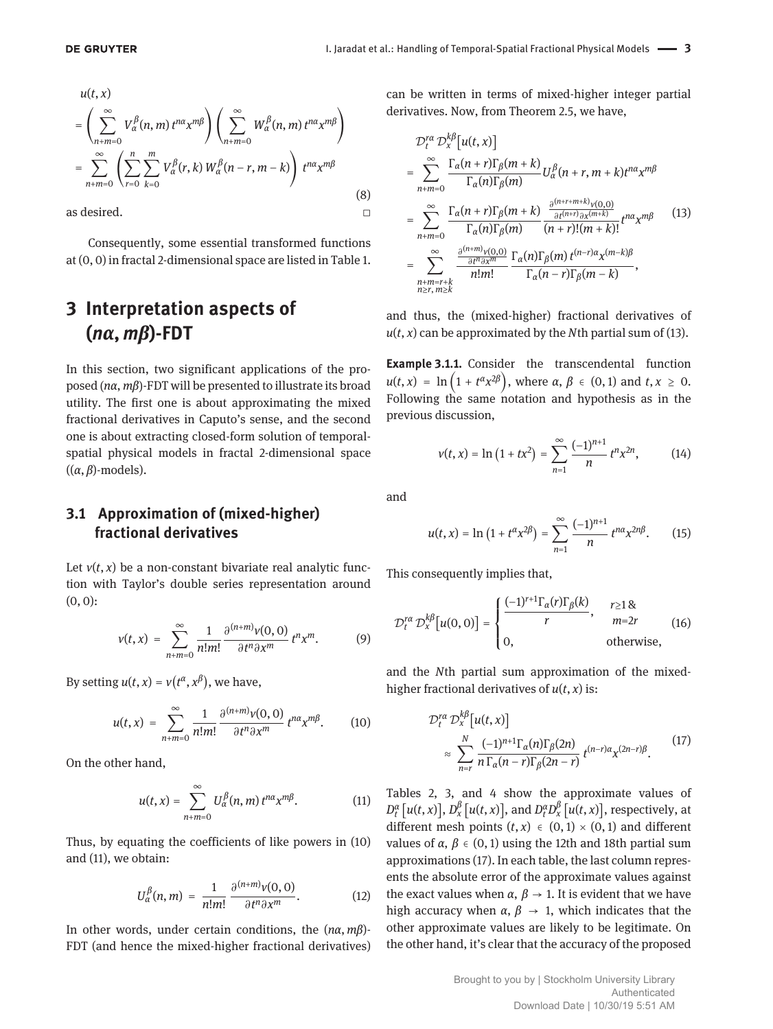$$
u(t, x)
$$
\n
$$
= \left(\sum_{n+m=0}^{\infty} V_{\alpha}^{\beta}(n, m) t^{n\alpha} x^{m\beta}\right) \left(\sum_{n+m=0}^{\infty} W_{\alpha}^{\beta}(n, m) t^{n\alpha} x^{m\beta}\right)
$$
\n
$$
= \sum_{n+m=0}^{\infty} \left(\sum_{r=0}^{n} \sum_{k=0}^{m} V_{\alpha}^{\beta}(r, k) W_{\alpha}^{\beta}(n-r, m-k)\right) t^{n\alpha} x^{m\beta}
$$
\n(8)

as desired.  $\Box$ 

Consequently, some essential transformed functions at (0, 0) in fractal 2-dimensional space are listed in Table 1.

## **3 Interpretation aspects of**  $(n\alpha, m\beta)$ -FDT

In this section, two significant applications of the proposed ( $n\alpha$ ,  $m\beta$ )-FDT will be presented to illustrate its broad utility. The first one is about approximating the mixed fractional derivatives in Caputo's sense, and the second one is about extracting closed-form solution of temporalspatial physical models in fractal 2-dimensional space  $((\alpha, \beta)$ -models).

#### **3.1 Approximation of (mixed-higher) fractional derivatives**

Let  $v(t, x)$  be a non-constant bivariate real analytic function with Taylor's double series representation around  $(0, 0)$ :

$$
v(t,x) = \sum_{n+m=0}^{\infty} \frac{1}{n!m!} \frac{\partial^{(n+m)} v(0,0)}{\partial t^n \partial x^m} t^n x^m.
$$
 (9)

By setting  $u(t, x) = v(t^{\alpha}, x^{\beta})$ , we have,

$$
u(t,x) = \sum_{n+m=0}^{\infty} \frac{1}{n!m!} \frac{\partial^{(n+m)} v(0,0)}{\partial t^n \partial x^m} t^{n\alpha} x^{m\beta}.
$$
 (10)

On the other hand,

$$
u(t,x) = \sum_{n+m=0}^{\infty} U_{\alpha}^{\beta}(n,m) t^{n\alpha} x^{m\beta}.
$$
 (11)

Thus, by equating the coefficients of like powers in (10) and (11), we obtain:

$$
U_{\alpha}^{\beta}(n,m) = \frac{1}{n!m!} \frac{\partial^{(n+m)} v(0,0)}{\partial t^n \partial x^m}.
$$
 (12)

In other words, under certain conditions, the  $(n\alpha, m\beta)$ -FDT (and hence the mixed-higher fractional derivatives) can be written in terms of mixed-higher integer partial derivatives. Now, from Theorem 2.5, we have,

$$
\mathcal{D}_{t}^{r\alpha} \mathcal{D}_{x}^{k\beta} [u(t, x)]
$$
\n
$$
= \sum_{n+m=0}^{\infty} \frac{\Gamma_{\alpha}(n+r)\Gamma_{\beta}(m+k)}{\Gamma_{\alpha}(n)\Gamma_{\beta}(m)} U_{\alpha}^{\beta}(n+r, m+k)t^{n\alpha}x^{m\beta}
$$
\n
$$
= \sum_{n+m=0}^{\infty} \frac{\Gamma_{\alpha}(n+r)\Gamma_{\beta}(m+k)}{\Gamma_{\alpha}(n)\Gamma_{\beta}(m)} \frac{\frac{\partial^{(n+r+m+k)}v(0,0)}{\partial t^{(n+r)}\partial x^{(m+k)}}}{(n+r)!(m+k)!} t^{n\alpha}x^{m\beta}
$$
\n
$$
= \sum_{\substack{n+m=r+k \ n \geq r, m \geq k}}^{\infty} \frac{\frac{\partial^{(n+m)}v(0,0)}{\partial t^{n}\partial x^{m}}}{n!m!} \frac{\Gamma_{\alpha}(n)\Gamma_{\beta}(m)t^{(n-r)\alpha}x^{(m-k)\beta}}{\Gamma_{\alpha}(n-r)\Gamma_{\beta}(m-k)},
$$
\n(13)

and thus, the (mixed-higher) fractional derivatives of  $u(t, x)$  can be approximated by the *N*th partial sum of (13).

**Example 3.1.1.** Consider the transcendental function  $u(t, x) = \ln(1 + t^{\alpha}x^{2\beta}),$  where  $\alpha, \beta \in (0, 1)$  and  $t, x \ge 0.$ Following the same notation and hypothesis as in the previous discussion,

$$
v(t,x) = \ln\left(1 + tx^2\right) = \sum_{n=1}^{\infty} \frac{(-1)^{n+1}}{n} t^n x^{2n}, \tag{14}
$$

and

$$
u(t,x) = \ln\left(1 + t^{\alpha}x^{2\beta}\right) = \sum_{n=1}^{\infty} \frac{(-1)^{n+1}}{n} t^{n\alpha}x^{2n\beta}.
$$
 (15)

This consequently implies that,

$$
\mathcal{D}_{t}^{r\alpha} \mathcal{D}_{x}^{k\beta} [u(0,0)] = \begin{cases} \frac{(-1)^{r+1} \Gamma_{\alpha}(r) \Gamma_{\beta}(k)}{r}, & r \ge 1 \& \text{m=2}r \\ 0, & \text{otherwise,} \end{cases}
$$
(16)

and the *N*th partial sum approximation of the mixedhigher fractional derivatives of  $u(t, x)$  is:

$$
\mathcal{D}_{t}^{ra} \mathcal{D}_{x}^{k\beta} [u(t, x)]
$$
\n
$$
\approx \sum_{n=r}^{N} \frac{(-1)^{n+1} \Gamma_{\alpha}(n) \Gamma_{\beta}(2n)}{n \Gamma_{\alpha}(n-r) \Gamma_{\beta}(2n-r)} t^{(n-r)\alpha} x^{(2n-r)\beta}.
$$
\n(17)

Tables 2, 3, and 4 show the approximate values of  $D_t^{\alpha}\big[u(t,x)\big],$   $D_x^{\beta}\big[u(t,x)\big],$  and  $D_t^{\alpha}D_x^{\beta}\big[u(t,x)\big],$  respectively, at different mesh points  $(t, x) \in (0, 1) \times (0, 1)$  and different values of  $\alpha$ ,  $\beta \in (0, 1)$  using the 12th and 18th partial sum approximations (17). In each table, the last column represents the absolute error of the approximate values against the exact values when  $\alpha$ ,  $\beta \rightarrow 1$ . It is evident that we have high accuracy when  $\alpha$ ,  $\beta \rightarrow 1$ , which indicates that the other approximate values are likely to be legitimate. On the other hand, it's clear that the accuracy of the proposed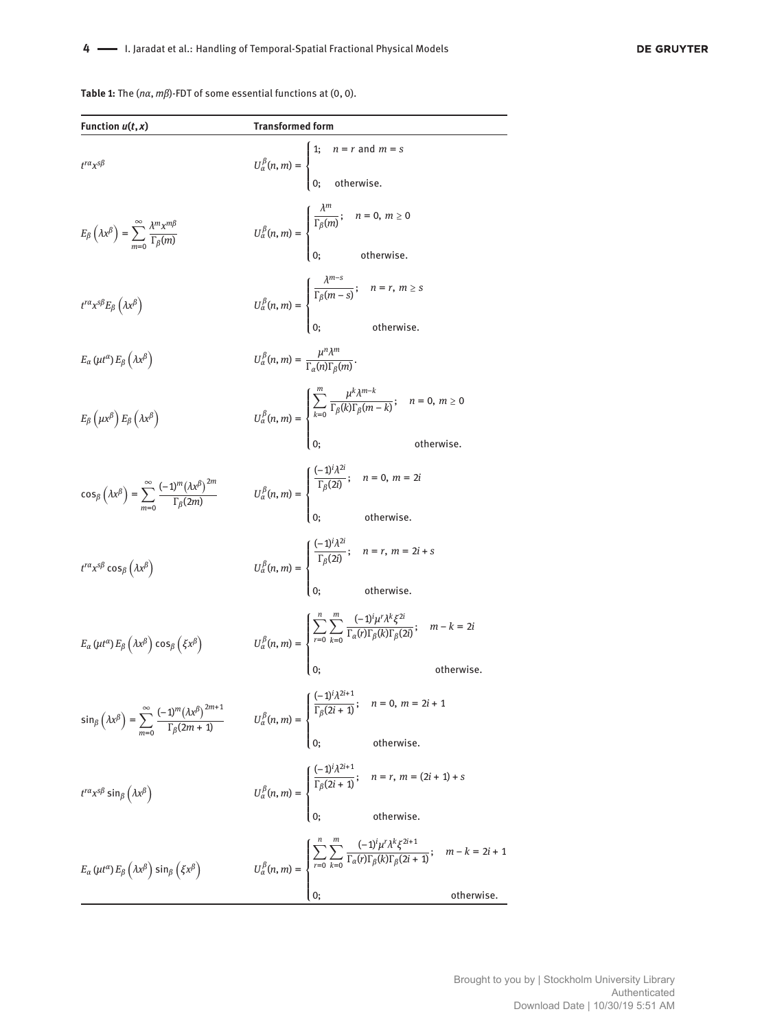**Table 1:** The  $(n\alpha, m\beta)$ -FDT of some essential functions at  $(0, 0)$ .

| Function $u(t, x)$                                                                                                                     | <b>Transformed form</b>                                                                 |                                                                                                                                                                                                                                                                                       |
|----------------------------------------------------------------------------------------------------------------------------------------|-----------------------------------------------------------------------------------------|---------------------------------------------------------------------------------------------------------------------------------------------------------------------------------------------------------------------------------------------------------------------------------------|
| $t^{r\alpha}x^{s\beta}$                                                                                                                |                                                                                         | $U_{\alpha}^{\beta}(n,m) = \begin{cases} 1; & n = r \text{ and } m = s \\ 0; & \text{otherwise.} \end{cases}$                                                                                                                                                                         |
| $E_{\beta}\left(\lambda x^{\beta}\right)=\sum_{m=0}^{\infty}\frac{\lambda^{m}x^{m\beta}}{\Gamma_{\beta}(m)}$                           |                                                                                         | $U_{\alpha}^{\beta}(n,m) = \begin{cases} \frac{n}{\Gamma_{\beta}(m)}; & n = 0, m \ge 0 \\ 0; & \text{otherwise.} \end{cases}$                                                                                                                                                         |
| $t^{r\alpha}x^{s\beta}E_{\beta}\left(\lambda x^{\beta}\right)$                                                                         |                                                                                         | $U_{\alpha}^{\beta}(n,m) = \begin{cases} \frac{\lambda}{\Gamma_{\beta}(m-s)}; & n = r, m \geq s \\ 0; & \text{otherwise.} \end{cases}$                                                                                                                                                |
| $E_{\alpha}(\mu t^{\alpha})E_{\beta}(\lambda x^{\beta})$                                                                               | $U_{\alpha}^{\beta}(n,m) = \frac{\mu^{n} A^{m}}{\Gamma_{\alpha}(n) \Gamma_{\beta}(m)}.$ |                                                                                                                                                                                                                                                                                       |
| $E_{\beta}\left(\mu x^{\beta}\right)E_{\beta}\left(\lambda x^{\beta}\right)$                                                           |                                                                                         | $U_{\alpha}^{\beta}(n,m) = \begin{cases} \sum_{k=0}^{\infty} \frac{\mu^{n} \lambda^{n-k}}{\Gamma_{\beta}(k)\Gamma_{\beta}(m-k)}; & n = 0, m \geq 0 \\\\ \sum_{k=0}^{\infty} \frac{\mu^{k}}{\Gamma(k-1)} \frac{\lambda^{k}}{\Gamma(k-1)} & \text{otherwise} \end{cases}$<br>otherwise. |
| $\cos_{\beta}\left(\lambda x^{\beta}\right)=\sum_{m=0}^{\infty}\frac{(-1)^{m}\left(\lambda x^{\beta}\right)^{2m}}{\Gamma_{\beta}(2m)}$ |                                                                                         | $U_{\alpha}^{\beta}(n,m) = \begin{cases} \frac{(-1)^{\gamma} \Lambda^{-}}{\Gamma_{\beta}(2i)}; & n = 0, m = 2i \\ 0; & \text{otherwise.} \end{cases}$                                                                                                                                 |
| $t^{r\alpha}x^{s\beta}\cos_{\beta}(\lambda x^{\beta})$                                                                                 |                                                                                         | $U_\alpha^\beta(n,m)=\left\{ \begin{aligned} &\frac{(-1)^i\lambda^\alpha}{\Gamma_\beta(2i)};& n=r,\,m=2i+s\\ &\Gamma_\beta(2i)&;& n=2i+s\\ &\Omega,&\Omega&\end{aligned} \right.$                                                                                                     |
| $E_{\alpha}(\mu t^{\alpha}) E_{\beta}(\lambda x^{\beta}) \cos_{\beta}(\xi x^{\beta})$                                                  |                                                                                         | $U^{\beta}_{\alpha}(n,m)=\left\{\begin{aligned} &\sum_{r=0}\sum_{k=0}\frac{(-1)^{i}\mu^{r}\lambda^{k}\xi^{2i}}{\Gamma_{\alpha}(r)\Gamma_{\beta}(k)\Gamma_{\beta}(2i)};& m-k=2i\\ &0;&\text{otherwise} \end{aligned}\right.$<br>otherwise.                                             |
| $\sin_{\beta}\left(\lambda x^{\beta}\right) = \sum_{m=0}^{\infty} \frac{(-1)^m (\lambda x^{\beta})^{2m+1}}{\Gamma_{\beta}(2m+1)}$      |                                                                                         | $U_{\alpha}^{\beta}(n,m) = \begin{cases} \frac{(-1)^i \lambda^{2i+1}}{\Gamma_{\beta}(2i+1)}; & n = 0, m = 2i + 1 \\ & \\ 0; & \text{otherwise.} \end{cases}$                                                                                                                          |
| $t^{r\alpha}x^{s\beta}$ sin $_{\beta}(\lambda x^{\beta})$                                                                              |                                                                                         | $U^{\beta}_{\alpha}(n,m)= \begin{cases} \frac{(-1)^{i}A^{2i+1}}{\Gamma_{\beta}(2i+1)}; & n=r, \ m=(2i+1)+s \\ \\ 0; & \text{otherwise}. \end{cases}$                                                                                                                                  |
| $E_{\alpha} (\mu t^{\alpha}) E_{\beta} (\lambda x^{\beta}) \sin_{\beta} (\xi x^{\beta})$                                               |                                                                                         | $U^\beta_\alpha(n,m) = \begin{cases} \displaystyle\sum_{r=0} \sum_{k=0}^\infty \frac{(-1)^i \mu^r \lambda^k \xi^{2i+1}}{\Gamma_\alpha(r) \Gamma_\beta(k) \Gamma_\beta(2i+1)}; & m-k = 2i+1 \\ \\ 0; & \text{otherwise}. \end{cases}$                                                  |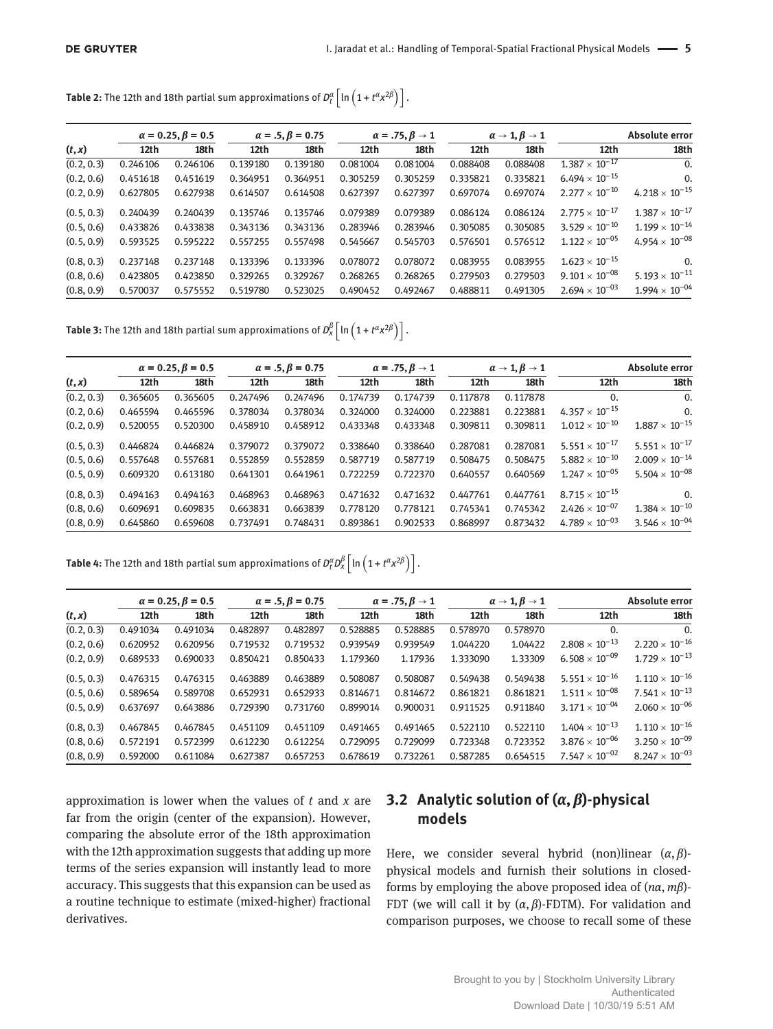**Table 2:** The 12th and 18th partial sum approximations of  $D_t^{\alpha}\left[ \ln \left( 1 + t^{\alpha} x^{2\beta} \right) \right]$  .

|            | $\alpha = 0.25, \beta = 0.5$ |          | $\alpha = .5, \beta = 0.75$ |          | $\alpha = .75, \beta \rightarrow 1$ |          | $\alpha \rightarrow 1, \beta \rightarrow 1$ |          | <b>Absolute error</b>   |                         |
|------------|------------------------------|----------|-----------------------------|----------|-------------------------------------|----------|---------------------------------------------|----------|-------------------------|-------------------------|
| (t, x)     | 12th                         | 18th     | 12th                        | 18th     | 12th                                | 18th     | 12th                                        | 18th     | 12th                    | 18th                    |
| (0.2, 0.3) | 0.246106                     | 0.246106 | 0.139180                    | 0.139180 | 0.081004                            | 0.081004 | 0.088408                                    | 0.088408 | $1.387 \times 10^{-17}$ | 0.                      |
| (0.2, 0.6) | 0.451618                     | 0.451619 | 0.364951                    | 0.364951 | 0.305259                            | 0.305259 | 0.335821                                    | 0.335821 | $6.494 \times 10^{-15}$ | $\Omega$ .              |
| (0.2, 0.9) | 0.627805                     | 0.627938 | 0.614507                    | 0.614508 | 0.627397                            | 0.627397 | 0.697074                                    | 0.697074 | $2.277 \times 10^{-10}$ | $4.218 \times 10^{-15}$ |
| (0.5, 0.3) | 0.240439                     | 0.240439 | 0.135746                    | 0.135746 | 0.079389                            | 0.079389 | 0.086124                                    | 0.086124 | $2.775 \times 10^{-17}$ | $1.387 \times 10^{-17}$ |
| (0.5, 0.6) | 0.433826                     | 0.433838 | 0.343136                    | 0.343136 | 0.283946                            | 0.283946 | 0.305085                                    | 0.305085 | $3.529 \times 10^{-10}$ | $1.199 \times 10^{-14}$ |
| (0.5, 0.9) | 0.593525                     | 0.595222 | 0.557255                    | 0.557498 | 0.545667                            | 0.545703 | 0.576501                                    | 0.576512 | $1.122 \times 10^{-05}$ | $4.954 \times 10^{-08}$ |
| (0.8, 0.3) | 0.237148                     | 0.237148 | 0.133396                    | 0.133396 | 0.078072                            | 0.078072 | 0.083955                                    | 0.083955 | $1.623 \times 10^{-15}$ | $\Omega$ .              |
| (0.8, 0.6) | 0.423805                     | 0.423850 | 0.329265                    | 0.329267 | 0.268265                            | 0.268265 | 0.279503                                    | 0.279503 | $9.101 \times 10^{-08}$ | $5.193 \times 10^{-11}$ |
| (0.8, 0.9) | 0.570037                     | 0.575552 | 0.519780                    | 0.523025 | 0.490452                            | 0.492467 | 0.488811                                    | 0.491305 | $2.694 \times 10^{-03}$ | $1.994 \times 10^{-04}$ |

**Table 3:** The 12th and 18th partial sum approximations of  $D_x^{\beta}$  [In  $\left(1+t^{\alpha}x^{2\beta}\right)\right]$ .

| (t, x)     | $\alpha = 0.25, \beta = 0.5$ |          | $\alpha = .5, \beta = 0.75$ |          | $\alpha = .75, \beta \rightarrow 1$ |          | $\alpha \rightarrow 1, \beta \rightarrow 1$ |          | Absolute error          |                         |
|------------|------------------------------|----------|-----------------------------|----------|-------------------------------------|----------|---------------------------------------------|----------|-------------------------|-------------------------|
|            | 12th                         | 18th     | 12th                        | 18th     | 12th                                | 18th     | 12th                                        | 18th     | 12th                    | 18th                    |
| (0.2, 0.3) | 0.365605                     | 0.365605 | 0.247496                    | 0.247496 | 0.174739                            | 0.174739 | 0.117878                                    | 0.117878 | $\Omega$ .              | 0.                      |
| (0.2, 0.6) | 0.465594                     | 0.465596 | 0.378034                    | 0.378034 | 0.324000                            | 0.324000 | 0.223881                                    | 0.223881 | $4.357 \times 10^{-15}$ | 0.                      |
| (0.2, 0.9) | 0.520055                     | 0.520300 | 0.458910                    | 0.458912 | 0.433348                            | 0.433348 | 0.309811                                    | 0.309811 | $1.012 \times 10^{-10}$ | $1.887 \times 10^{-15}$ |
| (0.5, 0.3) | 0.446824                     | 0.446824 | 0.379072                    | 0.379072 | 0.338640                            | 0.338640 | 0.287081                                    | 0.287081 | $5.551 \times 10^{-17}$ | $5.551 \times 10^{-17}$ |
| (0.5, 0.6) | 0.557648                     | 0.557681 | 0.552859                    | 0.552859 | 0.587719                            | 0.587719 | 0.508475                                    | 0.508475 | $5.882 \times 10^{-10}$ | $2.009 \times 10^{-14}$ |
| (0.5, 0.9) | 0.609320                     | 0.613180 | 0.641301                    | 0.641961 | 0.722259                            | 0.722370 | 0.640557                                    | 0.640569 | $1.247 \times 10^{-05}$ | $5.504 \times 10^{-08}$ |
| (0.8, 0.3) | 0.494163                     | 0.494163 | 0.468963                    | 0.468963 | 0.471632                            | 0.471632 | 0.447761                                    | 0.447761 | $8.715 \times 10^{-15}$ | $\Omega$ .              |
| (0.8, 0.6) | 0.609691                     | 0.609835 | 0.663831                    | 0.663839 | 0.778120                            | 0.778121 | 0.745341                                    | 0.745342 | $2.426 \times 10^{-07}$ | $1.384 \times 10^{-10}$ |
| (0.8, 0.9) | 0.645860                     | 0.659608 | 0.737491                    | 0.748431 | 0.893861                            | 0.902533 | 0.868997                                    | 0.873432 | $4.789 \times 10^{-03}$ | $3.546 \times 10^{-04}$ |

**Table 4:** The 12th and 18th partial sum approximations of  $D_t^{\alpha}D_x^{\beta}\left[\ln\left(1+t^{\alpha}x^{2\beta}\right)\right].$ 

| (t, x)     | $\alpha = 0.25, \beta = 0.5$ |          | $\alpha = .5, \beta = 0.75$ |          | $\alpha = .75, \beta \rightarrow 1$ |          | $\alpha \rightarrow 1, \beta \rightarrow 1$ |          | <b>Absolute error</b>   |                         |
|------------|------------------------------|----------|-----------------------------|----------|-------------------------------------|----------|---------------------------------------------|----------|-------------------------|-------------------------|
|            | 12th                         | 18th     | 12th                        | 18th     | 12th                                | 18th     | 12th                                        | 18th     | 12th                    | 18th                    |
| (0.2, 0.3) | 0.491034                     | 0.491034 | 0.482897                    | 0.482897 | 0.528885                            | 0.528885 | 0.578970                                    | 0.578970 | 0.                      | $\Omega$                |
| (0.2, 0.6) | 0.620952                     | 0.620956 | 0.719532                    | 0.719532 | 0.939549                            | 0.939549 | 1.044220                                    | 1.04422  | $2.808 \times 10^{-13}$ | $2.220 \times 10^{-16}$ |
| (0.2, 0.9) | 0.689533                     | 0.690033 | 0.850421                    | 0.850433 | 1.179360                            | 1.17936  | 1.333090                                    | 1.33309  | $6.508 \times 10^{-09}$ | $1.729 \times 10^{-13}$ |
| (0.5, 0.3) | 0.476315                     | 0.476315 | 0.463889                    | 0.463889 | 0.508087                            | 0.508087 | 0.549438                                    | 0.549438 | $5.551 \times 10^{-16}$ | $1.110 \times 10^{-16}$ |
| (0.5, 0.6) | 0.589654                     | 0.589708 | 0.652931                    | 0.652933 | 0.814671                            | 0.814672 | 0.861821                                    | 0.861821 | $1.511 \times 10^{-08}$ | $7.541 \times 10^{-13}$ |
| (0.5, 0.9) | 0.637697                     | 0.643886 | 0.729390                    | 0.731760 | 0.899014                            | 0.900031 | 0.911525                                    | 0.911840 | $3.171 \times 10^{-04}$ | $2.060 \times 10^{-06}$ |
| (0.8, 0.3) | 0.467845                     | 0.467845 | 0.451109                    | 0.451109 | 0.491465                            | 0.491465 | 0.522110                                    | 0.522110 | $1.404 \times 10^{-13}$ | $1.110 \times 10^{-16}$ |
| (0.8, 0.6) | 0.572191                     | 0.572399 | 0.612230                    | 0.612254 | 0.729095                            | 0.729099 | 0.723348                                    | 0.723352 | $3.876 \times 10^{-06}$ | $3.250 \times 10^{-09}$ |
| (0.8, 0.9) | 0.592000                     | 0.611084 | 0.627387                    | 0.657253 | 0.678619                            | 0.732261 | 0.587285                                    | 0.654515 | $7.547 \times 10^{-02}$ | $8.247 \times 10^{-03}$ |

approximation is lower when the values of *t* and *x* are far from the origin (center of the expansion). However, comparing the absolute error of the 18th approximation with the 12th approximation suggests that adding up more terms of the series expansion will instantly lead to more accuracy. This suggests that this expansion can be used as a routine technique to estimate (mixed-higher) fractional derivatives.

### **3.2** Analytic solution of  $(\alpha, \beta)$ -physical **models**

Here, we consider several hybrid (non)linear  $(\alpha, \beta)$ physical models and furnish their solutions in closedforms by employing the above proposed idea of  $(n\alpha, m\beta)$ -FDT (we will call it by  $(\alpha, \beta)$ -FDTM). For validation and comparison purposes, we choose to recall some of these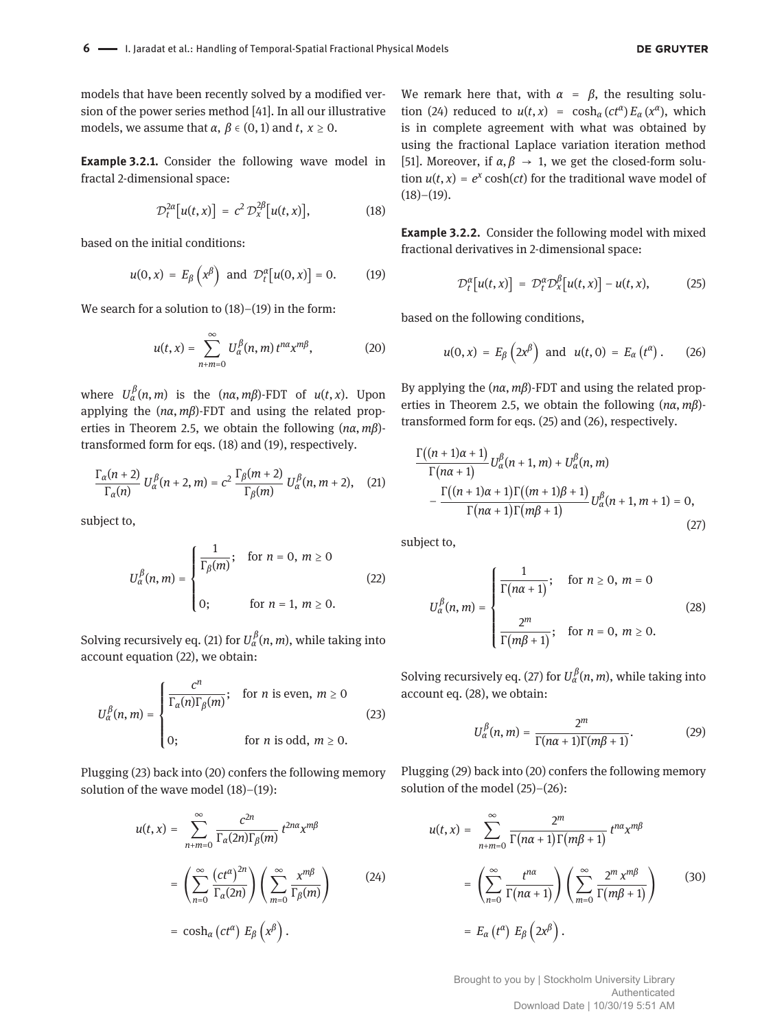models that have been recently solved by a modified version of the power series method [41]. In all our illustrative models, we assume that  $\alpha$ ,  $\beta \in (0, 1)$  and  $t, x \ge 0$ .

**Example 3.2.1.** Consider the following wave model in fractal 2-dimensional space:

$$
\mathcal{D}_t^{2\alpha}[u(t,x)] = c^2 \mathcal{D}_x^{2\beta}[u(t,x)], \qquad (18)
$$

based on the initial conditions:

$$
u(0,x) = E_{\beta}\left(x^{\beta}\right) \text{ and } \mathcal{D}_t^{\alpha}[u(0,x)] = 0. \quad (19)
$$

We search for a solution to  $(18)$ – $(19)$  in the form:

$$
u(t,x) = \sum_{n+m=0}^{\infty} U_{\alpha}^{\beta}(n,m) t^{n\alpha} x^{m\beta},
$$
 (20)

where  $U^{\beta}_{\alpha}(n,m)$  is the  $(n\alpha, m\beta)$ -FDT of  $u(t, x)$ . Upon applying the  $(n\alpha, m\beta)$ -FDT and using the related properties in Theorem 2.5, we obtain the following  $(n\alpha, m\beta)$ transformed form for eqs. (18) and (19), respectively.

$$
\frac{\Gamma_{\alpha}(n+2)}{\Gamma_{\alpha}(n)} U_{\alpha}^{\beta}(n+2, m) = c^2 \frac{\Gamma_{\beta}(m+2)}{\Gamma_{\beta}(m)} U_{\alpha}^{\beta}(n, m+2), \quad (21)
$$

subject to,

$$
U_{\alpha}^{\beta}(n,m) = \begin{cases} \frac{1}{\Gamma_{\beta}(m)}; & \text{for } n = 0, m \ge 0 \\ 0; & \text{for } n = 1, m \ge 0. \end{cases}
$$
 (22)

Solving recursively eq. (21) for  $U^\beta_\alpha(n,m)$ , while taking into account equation (22), we obtain:

$$
U_{\alpha}^{\beta}(n,m) = \begin{cases} \frac{c^n}{\Gamma_{\alpha}(n)\Gamma_{\beta}(m)}; & \text{for } n \text{ is even, } m \ge 0 \\ 0; & \text{for } n \text{ is odd, } m \ge 0. \end{cases}
$$
(23)

Plugging (23) back into (20) confers the following memory solution of the wave model (18)–(19):

$$
u(t,x) = \sum_{n+m=0}^{\infty} \frac{c^{2n}}{\Gamma_{\alpha}(2n)\Gamma_{\beta}(m)} t^{2n\alpha} x^{m\beta}
$$
  

$$
= \left(\sum_{n=0}^{\infty} \frac{(ct^{\alpha})^{2n}}{\Gamma_{\alpha}(2n)}\right) \left(\sum_{m=0}^{\infty} \frac{x^{m\beta}}{\Gamma_{\beta}(m)}\right)
$$
(24)  

$$
= \cosh_{\alpha} (ct^{\alpha}) E_{\beta} (x^{\beta}).
$$

We remark here that, with  $\alpha = \beta$ , the resulting solution (24) reduced to  $u(t, x) = \cosh_{\alpha} (ct^{\alpha}) E_{\alpha} (x^{\alpha})$ , which is in complete agreement with what was obtained by using the fractional Laplace variation iteration method [51]. Moreover, if  $\alpha, \beta \rightarrow 1$ , we get the closed-form solution  $u(t, x) = e^x \cosh(ct)$  for the traditional wave model of  $(18)–(19)$ .

**Example 3.2.2.** Consider the following model with mixed fractional derivatives in 2-dimensional space:

$$
\mathcal{D}_t^{\alpha}[u(t,x)] = \mathcal{D}_t^{\alpha} \mathcal{D}_x^{\beta}[u(t,x)] - u(t,x), \qquad (25)
$$

based on the following conditions,

$$
u(0,x) = E_{\beta}\left(2x^{\beta}\right) \text{ and } u(t,0) = E_{\alpha}\left(t^{\alpha}\right). \qquad (26)
$$

By applying the  $(n\alpha, m\beta)$ -FDT and using the related properties in Theorem 2.5, we obtain the following  $(n\alpha, m\beta)$ transformed form for eqs. (25) and (26), respectively.

$$
\frac{\Gamma((n+1)\alpha+1)}{\Gamma(n\alpha+1)}U_{\alpha}^{\beta}(n+1,m)+U_{\alpha}^{\beta}(n,m)
$$

$$
-\frac{\Gamma((n+1)\alpha+1)\Gamma((m+1)\beta+1)}{\Gamma(n\alpha+1)\Gamma(m\beta+1)}U_{\alpha}^{\beta}(n+1,m+1)=0,
$$
\n(27)

subject to,

$$
U_{\alpha}^{\beta}(n,m) = \begin{cases} \frac{1}{\Gamma(n\alpha+1)}; & \text{for } n \ge 0, m = 0\\ \frac{2^m}{\Gamma(m\beta+1)}; & \text{for } n = 0, m \ge 0. \end{cases}
$$
(28)

Solving recursively eq. (27) for  $U^{\beta}_{\alpha}(n, m)$ , while taking into account eq. (28), we obtain:

$$
U_{\alpha}^{\beta}(n,m) = \frac{2^m}{\Gamma(n\alpha+1)\Gamma(m\beta+1)}.
$$
 (29)

Plugging (29) back into (20) confers the following memory solution of the model (25)–(26):

$$
u(t,x) = \sum_{n+m=0}^{\infty} \frac{2^m}{\Gamma(n\alpha+1)\Gamma(m\beta+1)} t^{n\alpha} x^{m\beta}
$$
  
= 
$$
\left(\sum_{n=0}^{\infty} \frac{t^{n\alpha}}{\Gamma(n\alpha+1)}\right) \left(\sum_{m=0}^{\infty} \frac{2^m x^{m\beta}}{\Gamma(m\beta+1)}\right)
$$
(30)  
= 
$$
E_{\alpha} (t^{\alpha}) E_{\beta} (2x^{\beta}).
$$

Brought to you by | Stockholm University Library Authenticated Download Date | 10/30/19 5:51 AM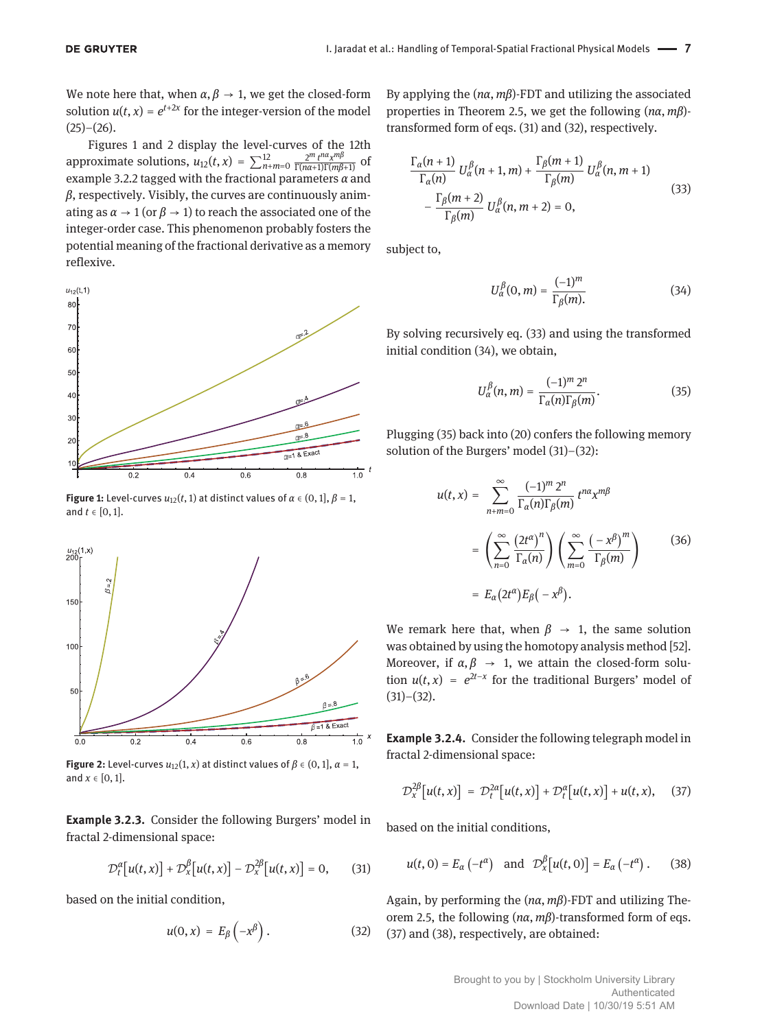We note here that, when  $\alpha, \beta \rightarrow 1$ , we get the closed-form solution  $u(t, x) = e^{t+2x}$  for the integer-version of the model  $(25)-(26)$ .

Figures 1 and 2 display the level-curves of the 12th approximate solutions,  $u_{12}(t, x) = \sum_{n+m=0}^{12} \frac{2^m t^{n\alpha} x^{m\beta}}{\Gamma(n\alpha+1)\Gamma(m\beta+1)}$  of example 3.2.2 tagged with the fractional parameters  $\alpha$  and  $\beta$ , respectively. Visibly, the curves are continuously animating as  $\alpha \rightarrow 1$  (or  $\beta \rightarrow 1$ ) to reach the associated one of the integer-order case. This phenomenon probably fosters the potential meaning of the fractional derivative as a memory reflexive.



**Figure 1:** Level-curves  $u_{12}(t, 1)$  at distinct values of  $\alpha \in (0, 1], \beta = 1$ , and  $t \in [0, 1]$ .



**Figure 2:** Level-curves  $u_{12}(1, x)$  at distinct values of  $\beta \in (0, 1], \alpha = 1$ , and  $x \in [0, 1]$ .

**Example 3.2.3.** Consider the following Burgers' model in fractal 2-dimensional space:

$$
\mathcal{D}_t^{\alpha}[u(t,x)] + \mathcal{D}_x^{\beta}[u(t,x)] - \mathcal{D}_x^{2\beta}[u(t,x)] = 0, \qquad (31)
$$

based on the initial condition,

$$
u(0,x) = E_{\beta}\left(-x^{\beta}\right). \tag{32}
$$

By applying the  $(n\alpha, m\beta)$ -FDT and utilizing the associated properties in Theorem 2.5, we get the following  $(n\alpha, m\beta)$ transformed form of eqs. (31) and (32), respectively.

$$
\frac{\Gamma_{\alpha}(n+1)}{\Gamma_{\alpha}(n)} U_{\alpha}^{\beta}(n+1, m) + \frac{\Gamma_{\beta}(m+1)}{\Gamma_{\beta}(m)} U_{\alpha}^{\beta}(n, m+1) - \frac{\Gamma_{\beta}(m+2)}{\Gamma_{\beta}(m)} U_{\alpha}^{\beta}(n, m+2) = 0,
$$
\n(33)

subject to,

$$
U_{\alpha}^{\beta}(0, m) = \frac{(-1)^m}{\Gamma_{\beta}(m)}.
$$
 (34)

By solving recursively eq. (33) and using the transformed initial condition (34), we obtain,

$$
U_{\alpha}^{\beta}(n,m) = \frac{(-1)^m 2^n}{\Gamma_{\alpha}(n)\Gamma_{\beta}(m)}.
$$
 (35)

Plugging (35) back into (20) confers the following memory solution of the Burgers' model (31)–(32):

$$
u(t,x) = \sum_{n+m=0}^{\infty} \frac{(-1)^m 2^n}{\Gamma_{\alpha}(n)\Gamma_{\beta}(m)} t^{n\alpha} x^{m\beta}
$$
  

$$
= \left(\sum_{n=0}^{\infty} \frac{(2t^{\alpha})^n}{\Gamma_{\alpha}(n)}\right) \left(\sum_{m=0}^{\infty} \frac{(-x^{\beta})^m}{\Gamma_{\beta}(m)}\right)
$$
(36)  

$$
= E_{\alpha}(2t^{\alpha}) E_{\beta}(-x^{\beta}).
$$

We remark here that, when  $\beta \rightarrow 1$ , the same solution was obtained by using the homotopy analysis method [52]. Moreover, if  $\alpha, \beta \rightarrow 1$ , we attain the closed-form solution  $u(t, x) = e^{2t-x}$  for the traditional Burgers' model of  $(31)–(32)$ .

**Example 3.2.4.** Consider the following telegraph model in fractal 2-dimensional space:

$$
\mathcal{D}_{X}^{2\beta}\big[u(t,x)\big] = \mathcal{D}_{t}^{2\alpha}\big[u(t,x)\big] + \mathcal{D}_{t}^{\alpha}\big[u(t,x)\big] + u(t,x), \quad (37)
$$

based on the initial conditions,

$$
u(t, 0) = E_{\alpha}(-t^{\alpha}) \quad \text{and} \quad \mathcal{D}_{x}^{\beta}[u(t, 0)] = E_{\alpha}(-t^{\alpha}). \tag{38}
$$

Again, by performing the  $(n\alpha, m\beta)$ -FDT and utilizing Theorem 2.5, the following  $(n\alpha, m\beta)$ -transformed form of eqs. (37) and (38), respectively, are obtained: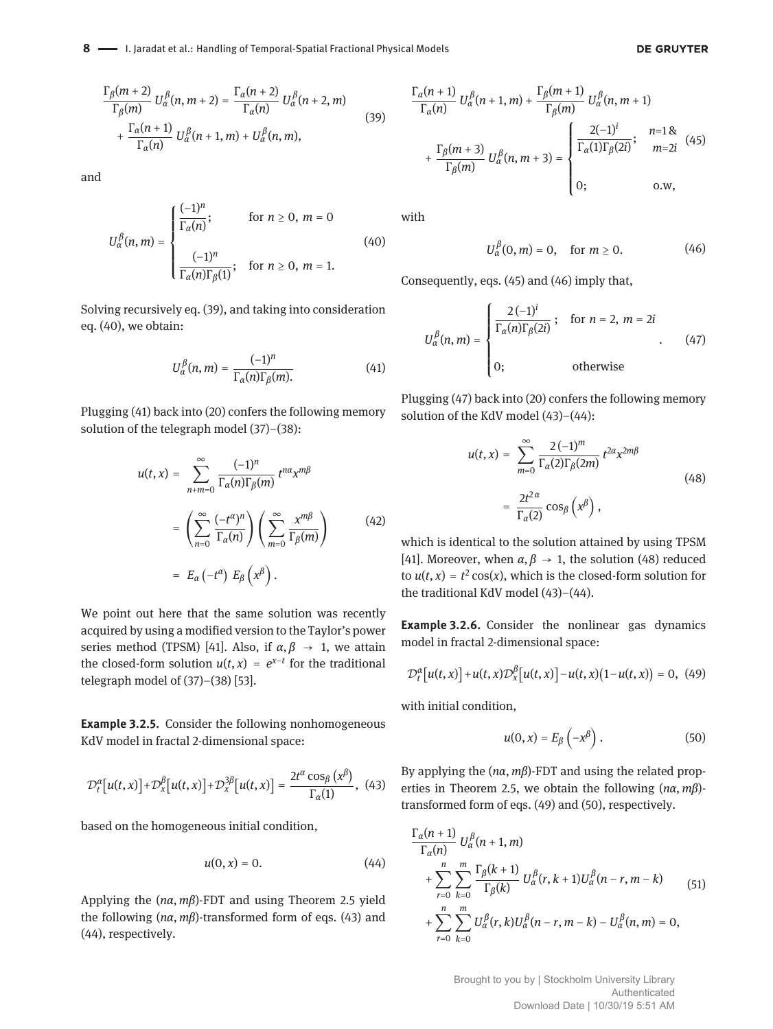#### **DE GRUYTER**

$$
\frac{\Gamma_{\beta}(m+2)}{\Gamma_{\beta}(m)} U_{\alpha}^{\beta}(n, m+2) = \frac{\Gamma_{\alpha}(n+2)}{\Gamma_{\alpha}(n)} U_{\alpha}^{\beta}(n+2, m)
$$
  
+ 
$$
\frac{\Gamma_{\alpha}(n+1)}{\Gamma_{\alpha}(n)} U_{\alpha}^{\beta}(n+1, m) + U_{\alpha}^{\beta}(n, m),
$$
 (39)

and

$$
U_{\alpha}^{\beta}(n,m) = \begin{cases} \frac{(-1)^n}{\Gamma_{\alpha}(n)}; & \text{for } n \ge 0, m = 0\\ \frac{(-1)^n}{\Gamma_{\alpha}(n)\Gamma_{\beta}(1)}; & \text{for } n \ge 0, m = 1. \end{cases}
$$
(40)

Solving recursively eq. (39), and taking into consideration eq. (40), we obtain:

$$
U_{\alpha}^{\beta}(n,m) = \frac{(-1)^n}{\Gamma_{\alpha}(n)\Gamma_{\beta}(m)}.
$$
 (41)

Plugging (41) back into (20) confers the following memory solution of the telegraph model (37)–(38):

$$
u(t,x) = \sum_{n+m=0}^{\infty} \frac{(-1)^n}{\Gamma_{\alpha}(n)\Gamma_{\beta}(m)} t^{n\alpha} x^{m\beta}
$$

$$
= \left(\sum_{n=0}^{\infty} \frac{(-t^{\alpha})^n}{\Gamma_{\alpha}(n)}\right) \left(\sum_{m=0}^{\infty} \frac{x^{m\beta}}{\Gamma_{\beta}(m)}\right)
$$
(42)
$$
= E_{\alpha}(-t^{\alpha}) E_{\beta} (x^{\beta}).
$$

We point out here that the same solution was recently acquired by using a modified version to the Taylor's power series method (TPSM) [41]. Also, if  $\alpha, \beta \rightarrow 1$ , we attain the closed-form solution  $u(t, x) = e^{x-t}$  for the traditional telegraph model of (37)–(38) [53].

**Example 3.2.5.** Consider the following nonhomogeneous KdV model in fractal 2-dimensional space:

$$
\mathcal{D}_t^{\alpha}[u(t,x)] + \mathcal{D}_x^{\beta}[u(t,x)] + \mathcal{D}_x^{3\beta}[u(t,x)] = \frac{2t^{\alpha}\cos_{\beta}(x^{\beta})}{\Gamma_{\alpha}(1)},
$$
 (43)

based on the homogeneous initial condition,

$$
u(0,x) = 0.\t\t(44)
$$

Applying the  $(n\alpha, m\beta)$ -FDT and using Theorem 2.5 yield the following  $(n\alpha, m\beta)$ -transformed form of eqs. (43) and (44), respectively.

$$
\frac{\Gamma_{\alpha}(n+1)}{\Gamma_{\alpha}(n)} U_{\alpha}^{\beta}(n+1, m) + \frac{\Gamma_{\beta}(m+1)}{\Gamma_{\beta}(m)} U_{\alpha}^{\beta}(n, m+1)
$$

$$
+ \frac{\Gamma_{\beta}(m+3)}{\Gamma_{\beta}(m)} U_{\alpha}^{\beta}(n, m+3) = \begin{cases} \frac{2(-1)^{i}}{\Gamma_{\alpha}(1)\Gamma_{\beta}(2i)}; & n=18\\ 0; & \text{o.w.} \end{cases} (45)
$$

with

$$
U_{\alpha}^{\beta}(0,m)=0, \quad \text{for } m \ge 0. \tag{46}
$$

Consequently, eqs. (45) and (46) imply that,

$$
U_{\alpha}^{\beta}(n,m) = \begin{cases} \frac{2(-1)^{i}}{\Gamma_{\alpha}(n)\Gamma_{\beta}(2i)}; & \text{for } n = 2, m = 2i \\ 0; & \text{otherwise} \end{cases}
$$
 (47)

Plugging (47) back into (20) confers the following memory solution of the KdV model (43)–(44):

$$
u(t,x) = \sum_{m=0}^{\infty} \frac{2(-1)^m}{\Gamma_{\alpha}(2)\Gamma_{\beta}(2m)} t^{2\alpha} x^{2m\beta}
$$
  
= 
$$
\frac{2t^{2\alpha}}{\Gamma_{\alpha}(2)} \cos_{\beta} (x^{\beta}),
$$
 (48)

which is identical to the solution attained by using TPSM [41]. Moreover, when  $\alpha, \beta \rightarrow 1$ , the solution (48) reduced to  $u(t, x) = t^2 \cos(x)$ , which is the closed-form solution for the traditional KdV model (43)–(44).

**Example 3.2.6.** Consider the nonlinear gas dynamics model in fractal 2-dimensional space:

$$
\mathcal{D}_t^{\alpha}[u(t,x)] + u(t,x)\mathcal{D}_x^{\beta}[u(t,x)] - u(t,x)(1-u(t,x)) = 0, \tag{49}
$$

with initial condition,

$$
u(0,x) = E_{\beta}\left(-x^{\beta}\right). \tag{50}
$$

By applying the  $(n\alpha, m\beta)$ -FDT and using the related properties in Theorem 2.5, we obtain the following  $(n\alpha, m\beta)$ transformed form of eqs. (49) and (50), respectively.

$$
\frac{\Gamma_{\alpha}(n+1)}{\Gamma_{\alpha}(n)} U_{\alpha}^{\beta}(n+1, m) \n+ \sum_{r=0}^{n} \sum_{k=0}^{m} \frac{\Gamma_{\beta}(k+1)}{\Gamma_{\beta}(k)} U_{\alpha}^{\beta}(r, k+1) U_{\alpha}^{\beta}(n-r, m-k) \n+ \sum_{r=0}^{n} \sum_{k=0}^{m} U_{\alpha}^{\beta}(r, k) U_{\alpha}^{\beta}(n-r, m-k) - U_{\alpha}^{\beta}(n, m) = 0,
$$
\n(51)

Brought to you by | Stockholm University Library Authenticated Download Date | 10/30/19 5:51 AM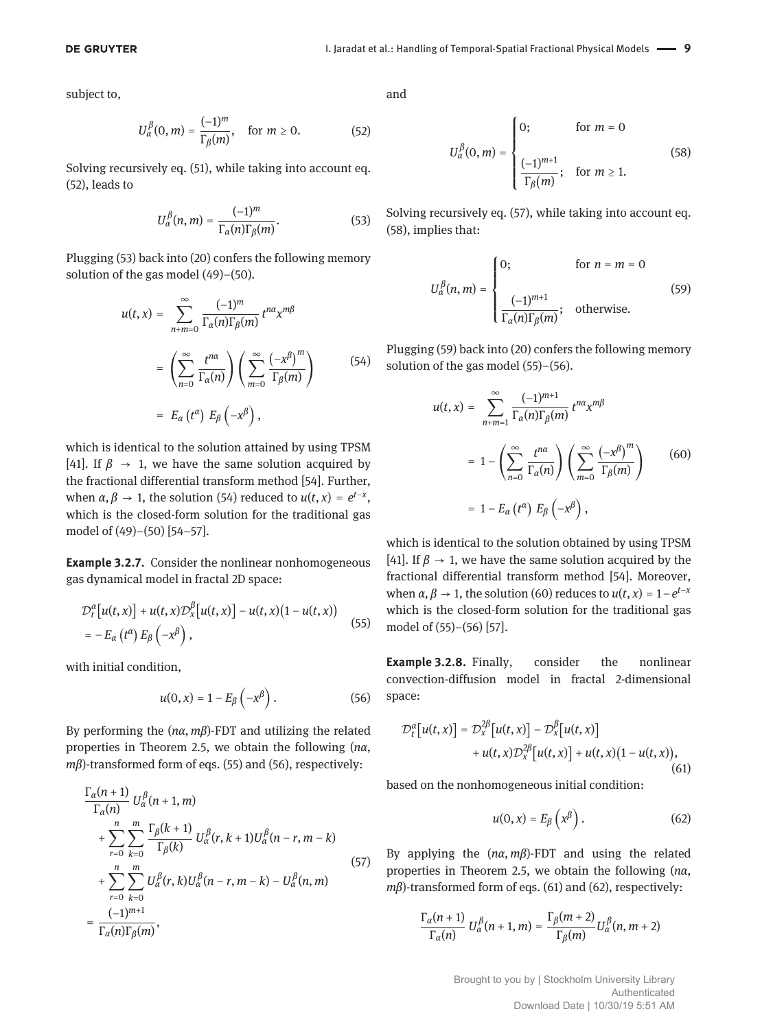subject to,

$$
U_{\alpha}^{\beta}(0, m) = \frac{(-1)^m}{\Gamma_{\beta}(m)}, \quad \text{for } m \ge 0.
$$
 (52)

Solving recursively eq. (51), while taking into account eq. (52), leads to

$$
U_{\alpha}^{\beta}(n,m) = \frac{(-1)^m}{\Gamma_{\alpha}(n)\Gamma_{\beta}(m)}.
$$
 (53)

Plugging (53) back into (20) confers the following memory solution of the gas model (49)–(50).

$$
u(t,x) = \sum_{n+m=0}^{\infty} \frac{(-1)^m}{\Gamma_{\alpha}(n)\Gamma_{\beta}(m)} t^{n\alpha} x^{m\beta}
$$
  

$$
= \left(\sum_{n=0}^{\infty} \frac{t^{n\alpha}}{\Gamma_{\alpha}(n)}\right) \left(\sum_{m=0}^{\infty} \frac{(-x^{\beta})^m}{\Gamma_{\beta}(m)}\right)
$$
(54)  

$$
= E_{\alpha}(t^{\alpha}) E_{\beta}(-x^{\beta}),
$$

which is identical to the solution attained by using TPSM [41]. If  $\beta \rightarrow 1$ , we have the same solution acquired by the fractional differential transform method [54]. Further, when  $\alpha, \beta \rightarrow 1$ , the solution (54) reduced to  $u(t, x) = e^{t-x}$ , which is the closed-form solution for the traditional gas model of (49)–(50) [54–57].

**Example 3.2.7.** Consider the nonlinear nonhomogeneous gas dynamical model in fractal 2D space:

$$
\mathcal{D}_t^{\alpha}[u(t,x)] + u(t,x)\mathcal{D}_x^{\beta}[u(t,x)] - u(t,x)(1-u(t,x))
$$
  
=  $-E_{\alpha}(t^{\alpha}) E_{\beta}(-x^{\beta}),$  (55)

with initial condition,

$$
u(0,x) = 1 - E_{\beta}\left(-x^{\beta}\right). \tag{56}
$$

By performing the  $(n\alpha, m\beta)$ -FDT and utilizing the related properties in Theorem 2.5, we obtain the following (*na*, *m* $\beta$ )-transformed form of eqs. (55) and (56), respectively:

$$
\frac{\Gamma_{\alpha}(n+1)}{\Gamma_{\alpha}(n)} U_{\alpha}^{\beta}(n+1, m) \n+ \sum_{r=0}^{n} \sum_{k=0}^{m} \frac{\Gamma_{\beta}(k+1)}{\Gamma_{\beta}(k)} U_{\alpha}^{\beta}(r, k+1) U_{\alpha}^{\beta}(n-r, m-k) \n+ \sum_{r=0}^{n} \sum_{k=0}^{m} U_{\alpha}^{\beta}(r, k) U_{\alpha}^{\beta}(n-r, m-k) - U_{\alpha}^{\beta}(n, m) \n= \frac{(-1)^{m+1}}{\Gamma_{\alpha}(n) \Gamma_{\beta}(m)},
$$
\n(57)

and

$$
U_{\alpha}^{\beta}(0, m) = \begin{cases} 0; & \text{for } m = 0 \\ \frac{(-1)^{m+1}}{\Gamma_{\beta}(m)}; & \text{for } m \ge 1. \end{cases}
$$
 (58)

Solving recursively eq. (57), while taking into account eq. (58), implies that:

$$
U_{\alpha}^{\beta}(n,m) = \begin{cases} 0; & \text{for } n = m = 0\\ \frac{(-1)^{m+1}}{\Gamma_{\alpha}(n)\Gamma_{\beta}(m)}; & \text{otherwise.} \end{cases}
$$
(59)

Plugging (59) back into (20) confers the following memory solution of the gas model (55)–(56).

$$
u(t,x) = \sum_{n+m=1}^{\infty} \frac{(-1)^{m+1}}{\Gamma_{\alpha}(n)\Gamma_{\beta}(m)} t^{n\alpha} x^{m\beta}
$$
  
=  $1 - \left(\sum_{n=0}^{\infty} \frac{t^{n\alpha}}{\Gamma_{\alpha}(n)}\right) \left(\sum_{m=0}^{\infty} \frac{(-x^{\beta})^m}{\Gamma_{\beta}(m)}\right)$  (60)  
=  $1 - E_{\alpha}(t^{\alpha}) E_{\beta}(-x^{\beta}),$ 

which is identical to the solution obtained by using TPSM [41]. If  $\beta \rightarrow 1$ , we have the same solution acquired by the fractional differential transform method [54]. Moreover, when  $\alpha, \beta \rightarrow 1$ , the solution (60) reduces to  $u(t, x) = 1-e^{t-x}$ which is the closed-form solution for the traditional gas model of (55)–(56) [57].

**Example 3.2.8.** Finally, consider the nonlinear convection-diffusion model in fractal 2-dimensional space:

$$
\mathcal{D}_t^{\alpha}[u(t,x)] = \mathcal{D}_x^{2\beta}[u(t,x)] - \mathcal{D}_x^{\beta}[u(t,x)]
$$
  
+ 
$$
u(t,x)\mathcal{D}_x^{2\beta}[u(t,x)] + u(t,x)(1-u(t,x)),
$$

(61)

based on the nonhomogeneous initial condition:

$$
u(0,x) = E_{\beta}\left(x^{\beta}\right). \tag{62}
$$

By applying the  $(n\alpha, m\beta)$ -FDT and using the related properties in Theorem 2.5, we obtain the following (*na*,  $m\beta$ )-transformed form of eqs. (61) and (62), respectively:

$$
\frac{\Gamma_{\alpha}(n+1)}{\Gamma_{\alpha}(n)} U_{\alpha}^{\beta}(n+1,m) = \frac{\Gamma_{\beta}(m+2)}{\Gamma_{\beta}(m)} U_{\alpha}^{\beta}(n,m+2)
$$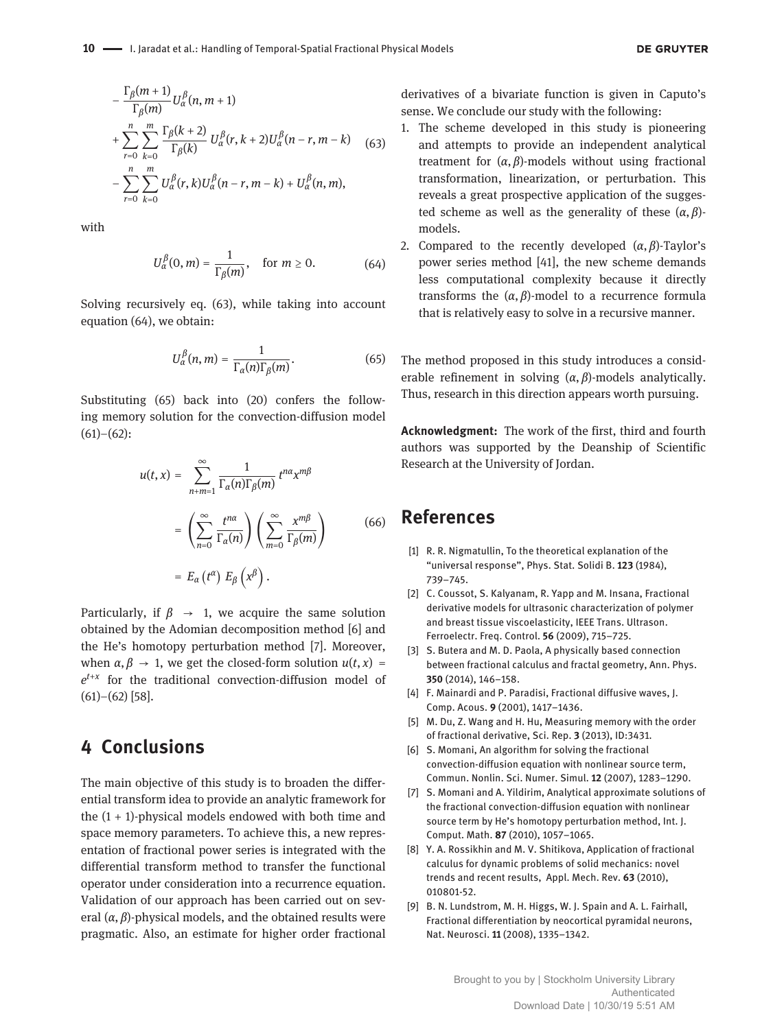$$
-\frac{\Gamma_{\beta}(m+1)}{\Gamma_{\beta}(m)}U_{\alpha}^{\beta}(n, m+1) + \sum_{r=0}^{n} \sum_{k=0}^{m} \frac{\Gamma_{\beta}(k+2)}{\Gamma_{\beta}(k)} U_{\alpha}^{\beta}(r, k+2)U_{\alpha}^{\beta}(n-r, m-k) \quad (63)
$$

$$
-\sum_{r=0}^{n} \sum_{k=0}^{m} U_{\alpha}^{\beta}(r, k)U_{\alpha}^{\beta}(n-r, m-k) + U_{\alpha}^{\beta}(n, m),
$$

with

$$
U_{\alpha}^{\beta}(0,m) = \frac{1}{\Gamma_{\beta}(m)}, \quad \text{for } m \ge 0.
$$
 (64)

Solving recursively eq. (63), while taking into account equation (64), we obtain:

$$
U_{\alpha}^{\beta}(n,m)=\frac{1}{\Gamma_{\alpha}(n)\Gamma_{\beta}(m)}.
$$
 (65)

Substituting (65) back into (20) confers the following memory solution for the convection-diffusion model  $(61)–(62)$ :

$$
u(t,x) = \sum_{n+m=1}^{\infty} \frac{1}{\Gamma_{\alpha}(n)\Gamma_{\beta}(m)} t^{n\alpha} x^{m\beta}
$$

$$
= \left(\sum_{n=0}^{\infty} \frac{t^{n\alpha}}{\Gamma_{\alpha}(n)}\right) \left(\sum_{m=0}^{\infty} \frac{x^{m\beta}}{\Gamma_{\beta}(m)}\right)
$$
(66)
$$
= E_{\alpha}(t^{\alpha}) E_{\beta}(x^{\beta}).
$$

Particularly, if  $\beta \rightarrow 1$ , we acquire the same solution obtained by the Adomian decomposition method [6] and the He's homotopy perturbation method [7]. Moreover, when  $\alpha, \beta \rightarrow 1$ , we get the closed-form solution  $u(t, x) =$ *e t*+*x* for the traditional convection-diffusion model of  $(61)$ – $(62)$  [58].

## **4 Conclusions**

The main objective of this study is to broaden the differential transform idea to provide an analytic framework for the  $(1 + 1)$ -physical models endowed with both time and space memory parameters. To achieve this, a new representation of fractional power series is integrated with the differential transform method to transfer the functional operator under consideration into a recurrence equation. Validation of our approach has been carried out on several  $(\alpha, \beta)$ -physical models, and the obtained results were pragmatic. Also, an estimate for higher order fractional

derivatives of a bivariate function is given in Caputo's sense. We conclude our study with the following:

- 1. The scheme developed in this study is pioneering and attempts to provide an independent analytical treatment for  $(\alpha, \beta)$ -models without using fractional transformation, linearization, or perturbation. This reveals a great prospective application of the suggested scheme as well as the generality of these  $(\alpha, \beta)$ models.
- 2. Compared to the recently developed  $(\alpha, \beta)$ -Taylor's power series method [41], the new scheme demands less computational complexity because it directly transforms the  $(\alpha, \beta)$ -model to a recurrence formula that is relatively easy to solve in a recursive manner.

The method proposed in this study introduces a considerable refinement in solving  $(\alpha, \beta)$ -models analytically. Thus, research in this direction appears worth pursuing.

**Acknowledgment:** The work of the first, third and fourth authors was supported by the Deanship of Scientific Research at the University of Jordan.

#### **References**

- [1] R. R. Nigmatullin, To the theoretical explanation of the "universal response", Phys. Stat. Solidi B. **123** (1984), 739–745.
- [2] C. Coussot, S. Kalyanam, R. Yapp and M. Insana, Fractional derivative models for ultrasonic characterization of polymer and breast tissue viscoelasticity, IEEE Trans. Ultrason. Ferroelectr. Freq. Control. **56** (2009), 715–725.
- [3] S. Butera and M. D. Paola, A physically based connection between fractional calculus and fractal geometry, Ann. Phys. **350** (2014), 146–158.
- [4] F. Mainardi and P. Paradisi, Fractional diffusive waves, J. Comp. Acous. **9** (2001), 1417–1436.
- [5] M. Du, Z. Wang and H. Hu, Measuring memory with the order of fractional derivative, Sci. Rep. **3** (2013), ID:3431.
- [6] S. Momani, An algorithm for solving the fractional convection-diffusion equation with nonlinear source term, Commun. Nonlin. Sci. Numer. Simul. **12** (2007), 1283–1290.
- [7] S. Momani and A. Yildirim, Analytical approximate solutions of the fractional convection-diffusion equation with nonlinear source term by He's homotopy perturbation method, Int. J. Comput. Math. **87** (2010), 1057–1065.
- [8] Y. A. Rossikhin and M. V. Shitikova, Application of fractional calculus for dynamic problems of solid mechanics: novel trends and recent results, Appl. Mech. Rev. **63** (2010), 010801-52.
- [9] B. N. Lundstrom, M. H. Higgs, W. J. Spain and A. L. Fairhall, Fractional differentiation by neocortical pyramidal neurons, Nat. Neurosci. **11** (2008), 1335–1342.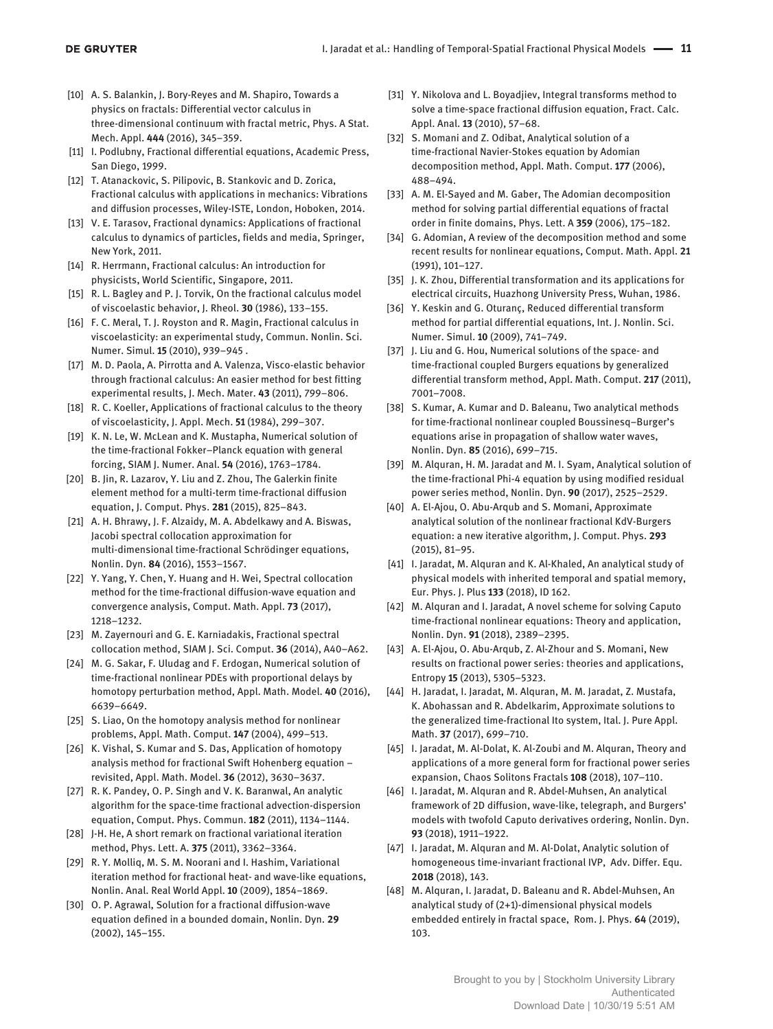- [10] A. S. Balankin, J. Bory-Reyes and M. Shapiro, Towards a physics on fractals: Differential vector calculus in three-dimensional continuum with fractal metric, Phys. A Stat. Mech. Appl. **444** (2016), 345–359.
- [11] I. Podlubny, Fractional differential equations, Academic Press, San Diego, 1999.
- [12] T. Atanackovic, S. Pilipovic, B. Stankovic and D. Zorica, Fractional calculus with applications in mechanics: Vibrations and diffusion processes, Wiley-ISTE, London, Hoboken, 2014.
- [13] V. E. Tarasov, Fractional dynamics: Applications of fractional calculus to dynamics of particles, fields and media, Springer, New York, 2011.
- [14] R. Herrmann, Fractional calculus: An introduction for physicists, World Scientific, Singapore, 2011.
- [15] R. L. Bagley and P. J. Torvik, On the fractional calculus model of viscoelastic behavior, J. Rheol. **30** (1986), 133–155.
- [16] F. C. Meral, T. J. Royston and R. Magin, Fractional calculus in viscoelasticity: an experimental study, Commun. Nonlin. Sci. Numer. Simul. **15** (2010), 939–945 .
- [17] M. D. Paola, A. Pirrotta and A. Valenza, Visco-elastic behavior through fractional calculus: An easier method for best fitting experimental results, J. Mech. Mater. **43** (2011), 799–806.
- [18] R. C. Koeller, Applications of fractional calculus to the theory of viscoelasticity, J. Appl. Mech. **51** (1984), 299–307.
- [19] K. N. Le, W. McLean and K. Mustapha, Numerical solution of the time-fractional Fokker–Planck equation with general forcing, SIAM J. Numer. Anal. **54** (2016), 1763–1784.
- [20] B. Jin, R. Lazarov, Y. Liu and Z. Zhou, The Galerkin finite element method for a multi-term time-fractional diffusion equation, J. Comput. Phys. **281** (2015), 825–843.
- [21] A. H. Bhrawy, J. F. Alzaidy, M. A. Abdelkawy and A. Biswas, Jacobi spectral collocation approximation for multi-dimensional time-fractional Schrödinger equations, Nonlin. Dyn. **84** (2016), 1553–1567.
- [22] Y. Yang, Y. Chen, Y. Huang and H. Wei, Spectral collocation method for the time-fractional diffusion-wave equation and convergence analysis, Comput. Math. Appl. **73** (2017), 1218–1232.
- [23] M. Zayernouri and G. E. Karniadakis, Fractional spectral collocation method, SIAM J. Sci. Comput. **36** (2014), A40–A62.
- [24] M. G. Sakar, F. Uludag and F. Erdogan, Numerical solution of time-fractional nonlinear PDEs with proportional delays by homotopy perturbation method, Appl. Math. Model. **40** (2016), 6639–6649.
- [25] S. Liao, On the homotopy analysis method for nonlinear problems, Appl. Math. Comput. **147** (2004), 499–513.
- [26] K. Vishal, S. Kumar and S. Das, Application of homotopy analysis method for fractional Swift Hohenberg equation – revisited, Appl. Math. Model. **36** (2012), 3630–3637.
- [27] R. K. Pandey, O. P. Singh and V. K. Baranwal, An analytic algorithm for the space-time fractional advection-dispersion equation, Comput. Phys. Commun. **182** (2011), 1134–1144.
- [28] J-H. He, A short remark on fractional variational iteration method, Phys. Lett. A. **375** (2011), 3362–3364.
- [29] R. Y. Molliq, M. S. M. Noorani and I. Hashim, Variational iteration method for fractional heat- and wave-like equations, Nonlin. Anal. Real World Appl. **10** (2009), 1854–1869.
- [30] O. P. Agrawal, Solution for a fractional diffusion-wave equation defined in a bounded domain, Nonlin. Dyn. **29** (2002), 145–155.
- [31] Y. Nikolova and L. Boyadjiev, Integral transforms method to solve a time-space fractional diffusion equation, Fract. Calc. Appl. Anal. **13** (2010), 57–68.
- [32] S. Momani and Z. Odibat, Analytical solution of a time-fractional Navier-Stokes equation by Adomian decomposition method, Appl. Math. Comput. **177** (2006), 488–494.
- [33] A. M. El-Sayed and M. Gaber, The Adomian decomposition method for solving partial differential equations of fractal order in finite domains, Phys. Lett. A **359** (2006), 175–182.
- [34] G. Adomian, A review of the decomposition method and some recent results for nonlinear equations, Comput. Math. Appl. **21** (1991), 101–127.
- [35] J. K. Zhou, Differential transformation and its applications for electrical circuits, Huazhong University Press, Wuhan, 1986.
- [36] Y. Keskin and G. Oturanc, Reduced differential transform method for partial differential equations, Int. J. Nonlin. Sci. Numer. Simul. **10** (2009), 741–749.
- [37] J. Liu and G. Hou, Numerical solutions of the space- and time-fractional coupled Burgers equations by generalized differential transform method, Appl. Math. Comput. **217** (2011), 7001–7008.
- [38] S. Kumar, A. Kumar and D. Baleanu, Two analytical methods for time-fractional nonlinear coupled Boussinesq–Burger's equations arise in propagation of shallow water waves, Nonlin. Dyn. **85** (2016), 699–715.
- [39] M. Alquran, H. M. Jaradat and M. I. Syam, Analytical solution of the time-fractional Phi-4 equation by using modified residual power series method, Nonlin. Dyn. **90** (2017), 2525–2529.
- [40] A. El-Ajou, O. Abu-Arqub and S. Momani, Approximate analytical solution of the nonlinear fractional KdV-Burgers equation: a new iterative algorithm, J. Comput. Phys. **293** (2015), 81–95.
- [41] I. Jaradat, M. Alquran and K. Al-Khaled, An analytical study of physical models with inherited temporal and spatial memory, Eur. Phys. J. Plus **133** (2018), ID 162.
- [42] M. Alquran and I. Jaradat, A novel scheme for solving Caputo time-fractional nonlinear equations: Theory and application, Nonlin. Dyn. **91** (2018), 2389–2395.
- [43] A. El-Ajou, O. Abu-Arqub, Z. Al-Zhour and S. Momani, New results on fractional power series: theories and applications, Entropy **15** (2013), 5305–5323.
- [44] H. Jaradat, I. Jaradat, M. Alquran, M. M. Jaradat, Z. Mustafa, K. Abohassan and R. Abdelkarim, Approximate solutions to the generalized time-fractional Ito system, Ital. J. Pure Appl. Math. **37** (2017), 699–710.
- [45] I. Jaradat, M. Al-Dolat, K. Al-Zoubi and M. Alquran, Theory and applications of a more general form for fractional power series expansion, Chaos Solitons Fractals **108** (2018), 107–110.
- [46] I. Jaradat, M. Alquran and R. Abdel-Muhsen, An analytical framework of 2D diffusion, wave-like, telegraph, and Burgers' models with twofold Caputo derivatives ordering, Nonlin. Dyn. **93** (2018), 1911–1922.
- [47] I. Jaradat, M. Alquran and M. Al-Dolat, Analytic solution of homogeneous time-invariant fractional IVP, Adv. Differ. Equ. **2018** (2018), 143.
- [48] M. Alquran, I. Jaradat, D. Baleanu and R. Abdel-Muhsen, An analytical study of (2+1)-dimensional physical models embedded entirely in fractal space, Rom. J. Phys. **64** (2019), 103.